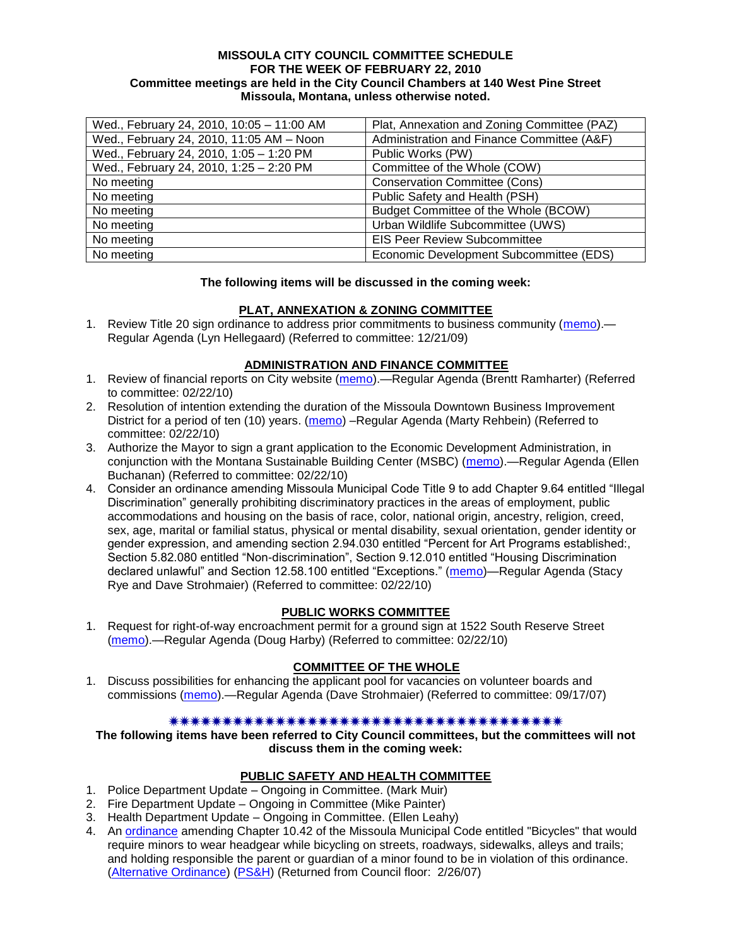### **MISSOULA CITY COUNCIL COMMITTEE SCHEDULE FOR THE WEEK OF FEBRUARY 22, 2010 Committee meetings are held in the City Council Chambers at 140 West Pine Street Missoula, Montana, unless otherwise noted.**

| Wed., February 24, 2010, 10:05 - 11:00 AM | Plat, Annexation and Zoning Committee (PAZ) |
|-------------------------------------------|---------------------------------------------|
| Wed., February 24, 2010, 11:05 AM - Noon  | Administration and Finance Committee (A&F)  |
| Wed., February 24, 2010, 1:05 - 1:20 PM   | Public Works (PW)                           |
| Wed., February 24, 2010, 1:25 - 2:20 PM   | Committee of the Whole (COW)                |
| No meeting                                | <b>Conservation Committee (Cons)</b>        |
| No meeting                                | Public Safety and Health (PSH)              |
| No meeting                                | Budget Committee of the Whole (BCOW)        |
| No meeting                                | Urban Wildlife Subcommittee (UWS)           |
| No meeting                                | <b>EIS Peer Review Subcommittee</b>         |
| No meeting                                | Economic Development Subcommittee (EDS)     |

### **The following items will be discussed in the coming week:**

# **PLAT, ANNEXATION & ZONING COMMITTEE**

1. Review Title 20 sign ordinance to address prior commitments to business community [\(memo\)](http://www.ci.missoula.mt.us/DocumentView.aspx?DID=2870).— Regular Agenda (Lyn Hellegaard) (Referred to committee: 12/21/09)

# **ADMINISTRATION AND FINANCE COMMITTEE**

- 1. Review of financial reports on City website [\(memo\)](http://www.ci.missoula.mt.us/DocumentView.aspx?DID=3173).—Regular Agenda (Brentt Ramharter) (Referred to committee: 02/22/10)
- 2. Resolution of intention extending the duration of the Missoula Downtown Business Improvement District for a period of ten (10) years. [\(memo\)](http://www.ci.missoula.mt.us/DocumentView.aspx?DID=3180) -Regular Agenda (Marty Rehbein) (Referred to committee: 02/22/10)
- 3. Authorize the Mayor to sign a grant application to the Economic Development Administration, in conjunction with the Montana Sustainable Building Center (MSBC) [\(memo\)](http://www.ci.missoula.mt.us/DocumentView.aspx?DID=3183).—Regular Agenda (Ellen Buchanan) (Referred to committee: 02/22/10)
- 4. Consider an ordinance amending Missoula Municipal Code Title 9 to add Chapter 9.64 entitled "Illegal" Discrimination" generally prohibiting discriminatory practices in the areas of employment, public accommodations and housing on the basis of race, color, national origin, ancestry, religion, creed, sex, age, marital or familial status, physical or mental disability, sexual orientation, gender identity or gender expression, and amending section 2.94.030 entitled "Percent for Art Programs established:, Section 5.82.080 entitled "Non-discrimination", Section 9.12.010 entitled "Housing Discrimination declared unlawful" and Section 12.58.100 entitled "Exceptions." [\(memo\)](http://www.ci.missoula.mt.us/DocumentView.aspx?DID=3170)—Regular Agenda (Stacy Rye and Dave Strohmaier) (Referred to committee: 02/22/10)

# **PUBLIC WORKS COMMITTEE**

1. Request for right-of-way encroachment permit for a ground sign at 1522 South Reserve Street [\(memo\)](http://www.ci.missoula.mt.us/DocumentView.aspx?DID=3169).—Regular Agenda (Doug Harby) (Referred to committee: 02/22/10)

# **COMMITTEE OF THE WHOLE**

1. Discuss possibilities for enhancing the applicant pool for vacancies on volunteer boards and commissions [\(memo\)](ftp://ftp.ci.missoula.mt.us/Packets/Council/2007/2007-09-17/Referrals/board_and_commission_recruitment.pdf).—Regular Agenda (Dave Strohmaier) (Referred to committee: 09/17/07)

### 

**The following items have been referred to City Council committees, but the committees will not discuss them in the coming week:**

# **PUBLIC SAFETY AND HEALTH COMMITTEE**

- 1. Police Department Update Ongoing in Committee. (Mark Muir)
- 2. Fire Department Update Ongoing in Committee (Mike Painter)
- 3. Health Department Update Ongoing in Committee. (Ellen Leahy)
- 4. An [ordinance](ftp://ftp.ci.missoula.mt.us/Packets/Council/2007/2007-02-05/07-01-31 Helmet and bikes psh.htm) amending Chapter 10.42 of the Missoula Municipal Code entitled "Bicycles" that would require minors to wear headgear while bicycling on streets, roadways, sidewalks, alleys and trails; and holding responsible the parent or guardian of a minor found to be in violation of this ordinance. [\(Alternative Ordinance\)](ftp://ftp.ci.missoula.mt.us/Packets/Council/2007/2007-02-26/07-02-19_Alternative_Helmet_and_bikes.htm) [\(PS&H\)](ftp://ftp.ci.missoula.mt.us/Packets/Council/2007/2007-02-05/070131psh.pdf) (Returned from Council floor: 2/26/07)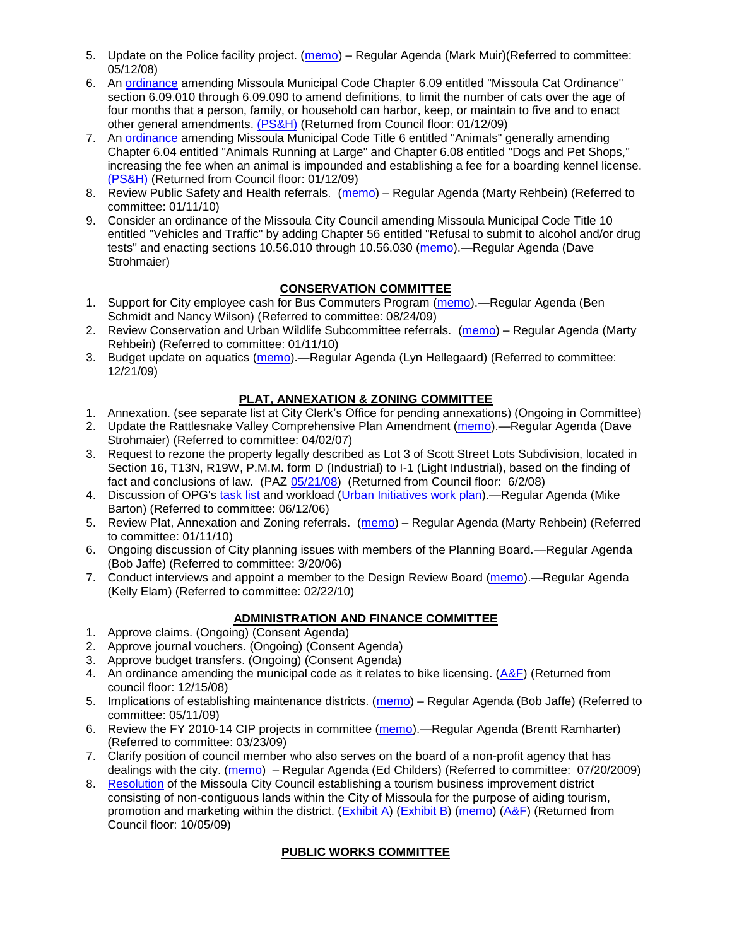- 5. Update on the Police facility project. [\(memo\)](ftp://ftp.ci.missoula.mt.us/Packets/Council/2008/2008-05-12/Referrals/Buildingpresentationreferral.htm) Regular Agenda (Mark Muir)(Referred to committee: 05/12/08)
- 6. An [ordinance](ftp://ftp.ci.missoula.mt.us/Packets/Council/2008/2008-12-15/2008CatOrdinanceAmendment%5B1%5D.pdf) amending Missoula Municipal Code Chapter 6.09 entitled "Missoula Cat Ordinance" section 6.09.010 through 6.09.090 to amend definitions, to limit the number of cats over the age of four months that a person, family, or household can harbor, keep, or maintain to five and to enact other general amendments. [\(PS&H\)](ftp://ftp.ci.missoula.mt.us/Packets/Council/2008/2008-12-15/081210psh.pdf) (Returned from Council floor: 01/12/09)
- 7. An [ordinance](ftp://ftp.ci.missoula.mt.us/Packets/Council/2008/2008-12-15/DogOrdinance--PSHrevisions.pdf) amending Missoula Municipal Code Title 6 entitled "Animals" generally amending Chapter 6.04 entitled "Animals Running at Large" and Chapter 6.08 entitled "Dogs and Pet Shops," increasing the fee when an animal is impounded and establishing a fee for a boarding kennel license. [\(PS&H\)](ftp://ftp.ci.missoula.mt.us/Packets/Council/2008/2008-12-15/081210psh.pdf) (Returned from Council floor: 01/12/09)
- 8. Review Public Safety and Health referrals. [\(memo\)](http://www.ci.missoula.mt.us/DocumentView.aspx?DID=2933) Regular Agenda (Marty Rehbein) (Referred to committee: 01/11/10)
- 9. Consider an ordinance of the Missoula City Council amending Missoula Municipal Code Title 10 entitled "Vehicles and Traffic" by adding Chapter 56 entitled "Refusal to submit to alcohol and/or drug tests" and enacting sections 10.56.010 through 10.56.030 [\(memo\)](http://www.ci.missoula.mt.us/DocumentView.aspx?DID=3131).—Regular Agenda (Dave Strohmaier)

# **CONSERVATION COMMITTEE**

- 1. Support for City employee cash for Bus Commuters Program [\(memo\)](http://www.ci.missoula.mt.us/DocumentView.aspx?DID=2127).—Regular Agenda (Ben Schmidt and Nancy Wilson) (Referred to committee: 08/24/09)
- 2. Review Conservation and Urban Wildlife Subcommittee referrals. [\(memo\)](http://www.ci.missoula.mt.us/DocumentView.aspx?DID=2933) Regular Agenda (Marty Rehbein) (Referred to committee: 01/11/10)
- 3. Budget update on aquatics [\(memo\)](http://www.ci.missoula.mt.us/DocumentView.aspx?DID=2864).—Regular Agenda (Lyn Hellegaard) (Referred to committee: 12/21/09)

# **PLAT, ANNEXATION & ZONING COMMITTEE**

- 1. Annexation. (see separate list at City Clerk's Office for pending annexations) (Ongoing in Committee)
- 2. Update the Rattlesnake Valley Comprehensive Plan Amendment [\(memo\)](ftp://ftp.ci.missoula.mt.us/Packets/Council/2007/2007-04-02/Referrals/Rattlesnake_Plan_Update_referral.pdf).—Regular Agenda (Dave Strohmaier) (Referred to committee: 04/02/07)
- 3. Request to rezone the property legally described as Lot 3 of Scott Street Lots Subdivision, located in Section 16, T13N, R19W, P.M.M. form D (Industrial) to I-1 (Light Industrial), based on the finding of fact and conclusions of law. (PAZ [05/21/08\)](ftp://ftp.ci.missoula.mt.us/Packets/Council/2008/2008-06-02/080521paz.pdf) (Returned from Council floor: 6/2/08)
- 4. Discussion of OPG's [task list](ftp://ftp.ci.missoula.mt.us/Packets/Council/2008/2008-07-07/UITaskList.pdf) and workload [\(Urban Initiatives work plan\)](ftp://ftp.ci.missoula.mt.us/Packets/Council/2006/2006-06-12/Referrals/Urban_Init.htm).—Regular Agenda (Mike Barton) (Referred to committee: 06/12/06)
- 5. Review Plat, Annexation and Zoning referrals. [\(memo\)](http://www.ci.missoula.mt.us/DocumentView.aspx?DID=2933) Regular Agenda (Marty Rehbein) (Referred to committee: 01/11/10)
- 6. Ongoing discussion of City planning issues with members of the Planning Board.—Regular Agenda (Bob Jaffe) (Referred to committee: 3/20/06)
- 7. Conduct interviews and appoint a member to the Design Review Board [\(memo\)](http://www.ci.missoula.mt.us/DocumentView.aspx?DID=3168).—Regular Agenda (Kelly Elam) (Referred to committee: 02/22/10)

# **ADMINISTRATION AND FINANCE COMMITTEE**

- 1. Approve claims. (Ongoing) (Consent Agenda)
- 2. Approve journal vouchers. (Ongoing) (Consent Agenda)
- 3. Approve budget transfers. (Ongoing) (Consent Agenda)
- 4. An ordinance amending the municipal code as it relates to bike licensing.  $(A\&F)$  (Returned from council floor: 12/15/08)
- 5. Implications of establishing maintenance districts. [\(memo\)](ftp://ftp.ci.missoula.mt.us/Packets/Council/2009/2009-05-11/Referrals/MaintenanceDistricts.pdf) Regular Agenda (Bob Jaffe) (Referred to committee: 05/11/09)
- 6. Review the FY 2010-14 CIP projects in committee [\(memo\)](ftp://ftp.ci.missoula.mt.us/Packets/Council/2009/2009-03-23/Referrals/RefAFCIPBudgetReviewFY2010-2014CIP.pdf).—Regular Agenda (Brentt Ramharter) (Referred to committee: 03/23/09)
- 7. Clarify position of council member who also serves on the board of a non-profit agency that has dealings with the city. [\(memo\)](http://www.ci.missoula.mt.us/DocumentView.aspx?DID=1840) – Regular Agenda (Ed Childers) (Referred to committee: 07/20/2009)
- 8. [Resolution](http://www.ci.missoula.mt.us/DocumentView.aspx?DID=2373) of the Missoula City Council establishing a tourism business improvement district consisting of non-contiguous lands within the City of Missoula for the purpose of aiding tourism, promotion and marketing within the district. [\(Exhibit A\)](http://www.ci.missoula.mt.us/DocumentView.aspx?DID=2090) [\(Exhibit B\)](http://www.ci.missoula.mt.us/DocumentView.aspx?DID=2374) [\(memo\)](http://www.ci.missoula.mt.us/DocumentView.aspx?DID=2097) [\(A&F\)](http://www.ci.missoula.mt.us/Archive.aspx?ADID=1172) (Returned from Council floor: 10/05/09)

# **PUBLIC WORKS COMMITTEE**